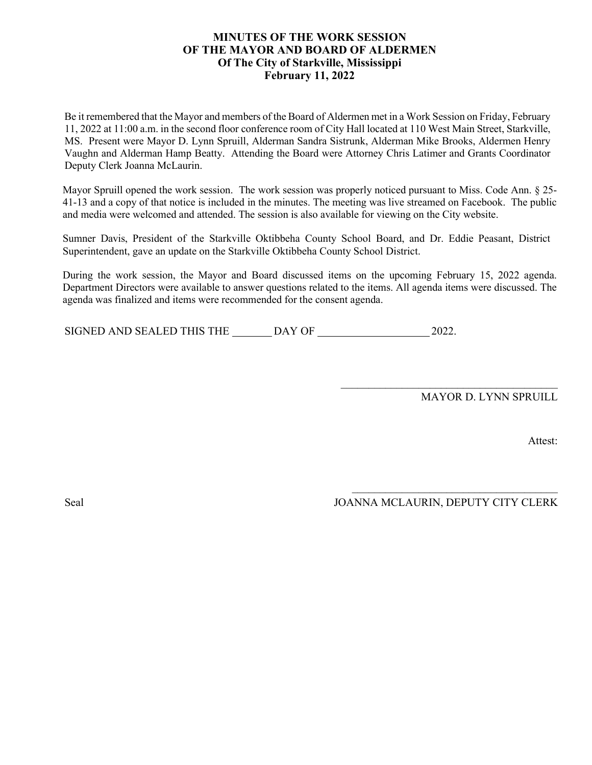#### **MINUTES OF THE WORK SESSION OF THE MAYOR AND BOARD OF ALDERMEN Of The City of Starkville, Mississippi February 11, 2022**

Be it remembered that the Mayor and members of the Board of Aldermen met in a Work Session on Friday, February 11, 2022 at 11:00 a.m. in the second floor conference room of City Hall located at 110 West Main Street, Starkville, MS. Present were Mayor D. Lynn Spruill, Alderman Sandra Sistrunk, Alderman Mike Brooks, Aldermen Henry Vaughn and Alderman Hamp Beatty. Attending the Board were Attorney Chris Latimer and Grants Coordinator Deputy Clerk Joanna McLaurin.

Mayor Spruill opened the work session. The work session was properly noticed pursuant to Miss. Code Ann. § 25- 41-13 and a copy of that notice is included in the minutes. The meeting was live streamed on Facebook. The public and media were welcomed and attended. The session is also available for viewing on the City website.

Sumner Davis, President of the Starkville Oktibbeha County School Board, and Dr. Eddie Peasant, District Superintendent, gave an update on the Starkville Oktibbeha County School District.

During the work session, the Mayor and Board discussed items on the upcoming February 15, 2022 agenda. Department Directors were available to answer questions related to the items. All agenda items were discussed. The agenda was finalized and items were recommended for the consent agenda.

SIGNED AND SEALED THIS THE DAY OF 2022.

MAYOR D. LYNN SPRUILL

Attest:

Seal JOANNA MCLAURIN, DEPUTY CITY CLERK

\_\_\_\_\_\_\_\_\_\_\_\_\_\_\_\_\_\_\_\_\_\_\_\_\_\_\_\_\_\_\_\_\_\_\_\_\_

\_\_\_\_\_\_\_\_\_\_\_\_\_\_\_\_\_\_\_\_\_\_\_\_\_\_\_\_\_\_\_\_\_\_\_\_\_\_\_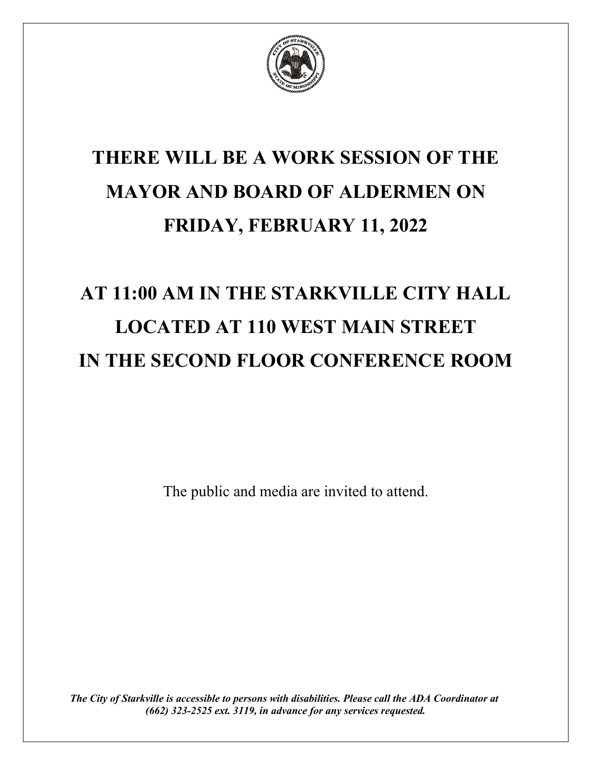

## **THERE WILL BE A WORK SESSION OF THE MAYOR AND BOARD OF ALDERMEN ON FRIDAY, FEBRUARY 11, 2022**

# **AT 11:00 AM IN THE STARKVILLE CITY HALL LOCATED AT 110 WEST MAIN STREET IN THE SECOND FLOOR CONFERENCE ROOM**

The public and media are invited to attend.

*The City of Starkville is accessible to persons with disabilities. Please call the ADA Coordinator at (662) 323-2525 ext. 3119, in advance for any services requested.*